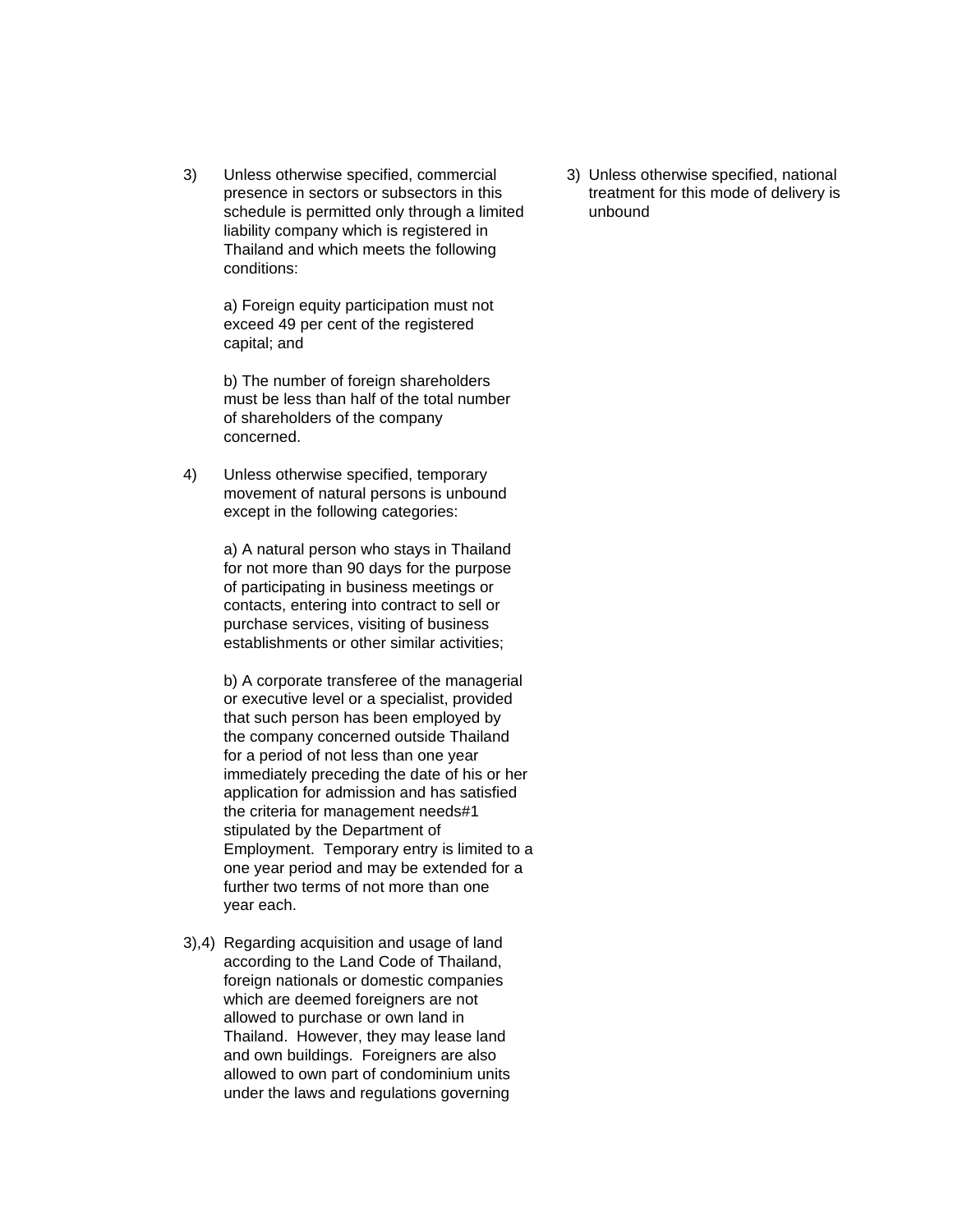3) Unless otherwise specified, commercial 3) Unless otherwise specified, national presence in sectors or subsectors in this treatment for this mode of delivery is schedule is permitted only through a limited unbound liability company which is registered in Thailand and which meets the following conditions:

a) Foreign equity participation must not exceed 49 per cent of the registered capital; and

b) The number of foreign shareholders must be less than half of the total number of shareholders of the company concerned.

4) Unless otherwise specified, temporary movement of natural persons is unbound except in the following categories:

> a) A natural person who stays in Thailand for not more than 90 days for the purpose of participating in business meetings or contacts, entering into contract to sell or purchase services, visiting of business establishments or other similar activities;

b) A corporate transferee of the managerial or executive level or a specialist, provided that such person has been employed by the company concerned outside Thailand for a period of not less than one year immediately preceding the date of his or her application for admission and has satisfied the criteria for management needs#1 stipulated by the Department of Employment. Temporary entry is limited to a one year period and may be extended for a further two terms of not more than one year each.

3),4) Regarding acquisition and usage of land according to the Land Code of Thailand, foreign nationals or domestic companies which are deemed foreigners are not allowed to purchase or own land in Thailand. However, they may lease land and own buildings. Foreigners are also allowed to own part of condominium units under the laws and regulations governing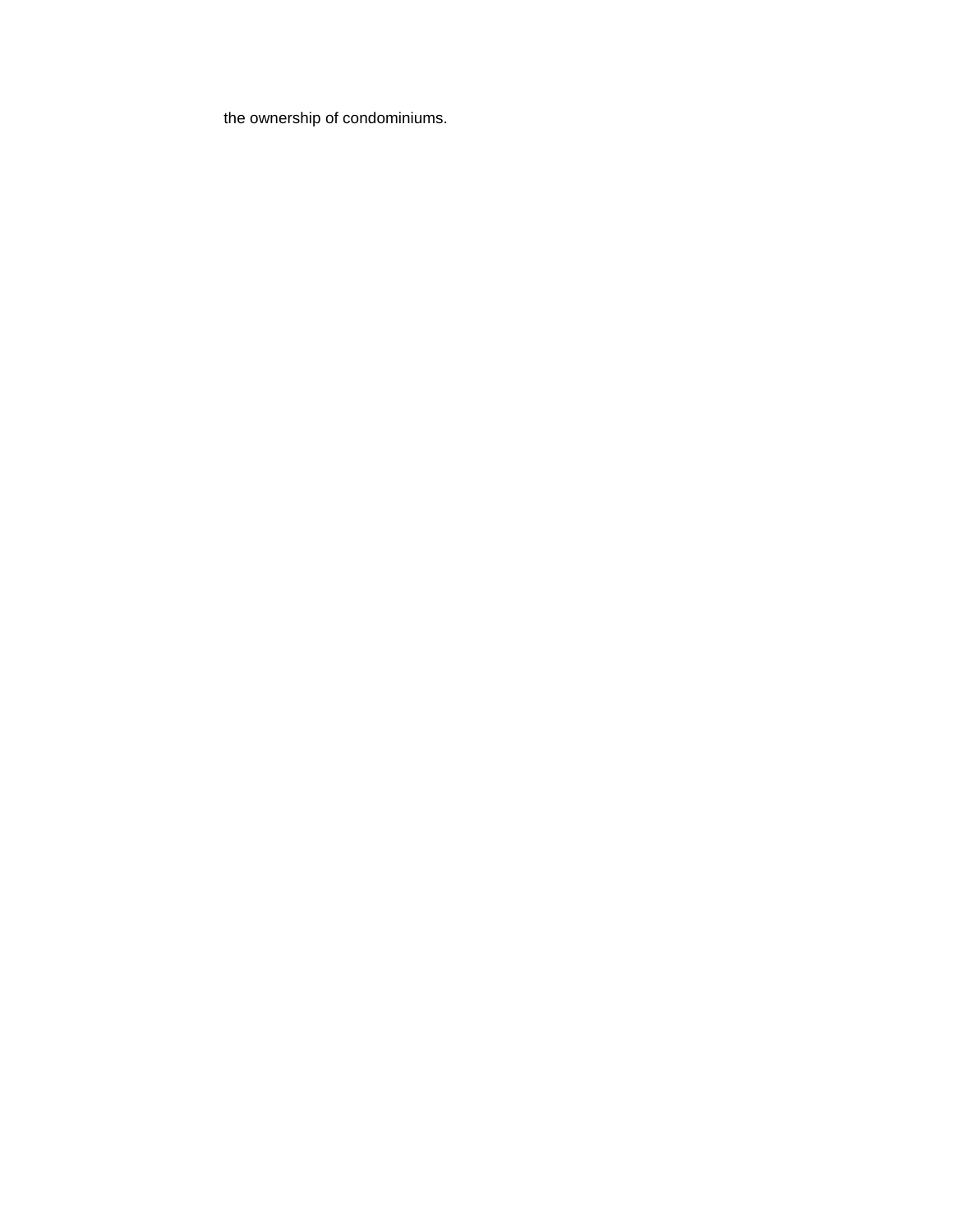the ownership of condominiums.